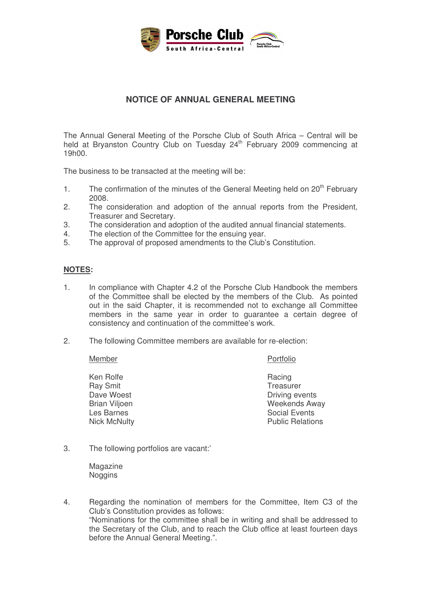

## **NOTICE OF ANNUAL GENERAL MEETING**

The Annual General Meeting of the Porsche Club of South Africa – Central will be held at Bryanston Country Club on Tuesday 24<sup>th</sup> February 2009 commencing at 19h00.

The business to be transacted at the meeting will be:

- 1. The confirmation of the minutes of the General Meeting held on 20<sup>th</sup> February 2008.
- 2. The consideration and adoption of the annual reports from the President, Treasurer and Secretary.
- 3. The consideration and adoption of the audited annual financial statements.
- 4. The election of the Committee for the ensuing year.
- 5. The approval of proposed amendments to the Club's Constitution.

## **NOTES:**

- 1. In compliance with Chapter 4.2 of the Porsche Club Handbook the members of the Committee shall be elected by the members of the Club. As pointed out in the said Chapter, it is recommended not to exchange all Committee members in the same year in order to guarantee a certain degree of consistency and continuation of the committee's work.
- 2. The following Committee members are available for re-election:

Member Portfolio

Ken Rolfe **Racing** Racing Ray Smit **No. 2018** Treasurer

- Dave Woest **Driving events** Brian Viljoen Weekends Away Les Barnes<br>
Nick McNulty<br>
Nick McNulty<br>
Social Events **Public Relations**
- 3. The following portfolios are vacant:'

Magazine Noggins

4. Regarding the nomination of members for the Committee, Item C3 of the Club's Constitution provides as follows: "Nominations for the committee shall be in writing and shall be addressed to the Secretary of the Club, and to reach the Club office at least fourteen days before the Annual General Meeting.".